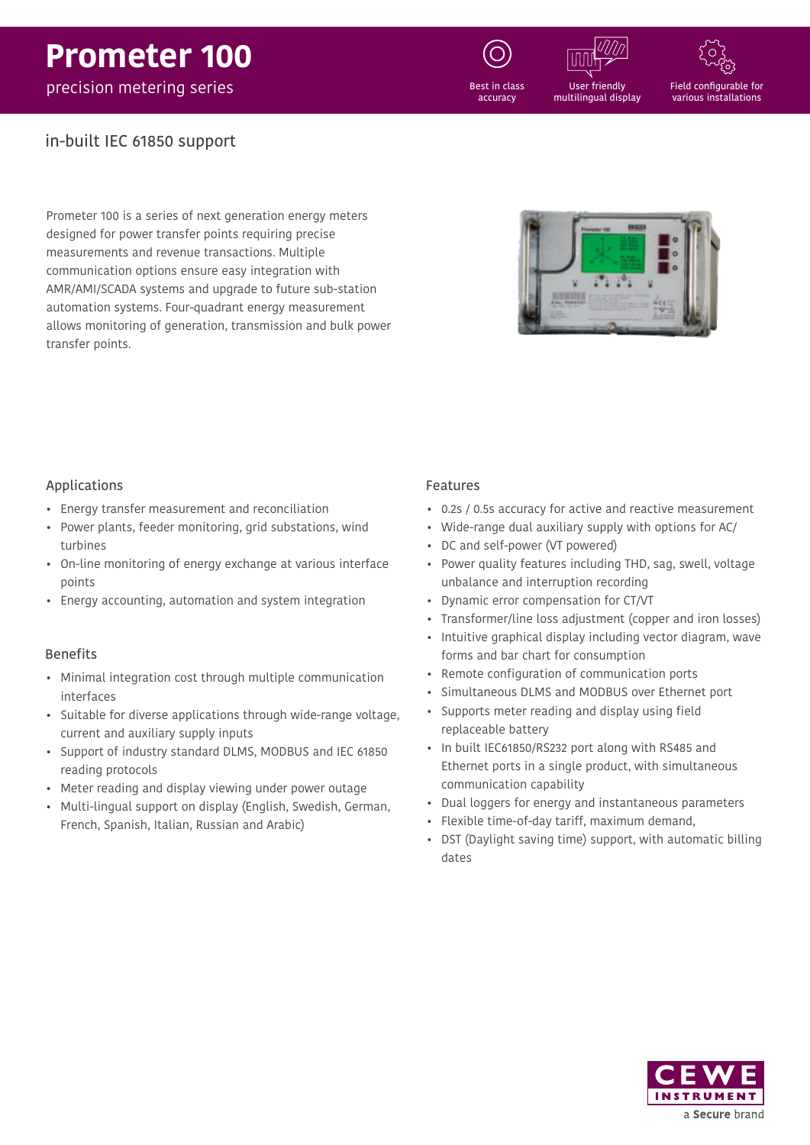precision metering series

Best in class

accuracy

User friendly

multilingual display

Field configurable for various installations

#### in-built IEC 61850 support

Prometer 100 is a series of next generation energy meters designed for power transfer points requiring precise measurements and revenue transactions. Multiple communication options ensure easy integration with AMR/AMI/SCADA systems and upgrade to future sub-station automation systems. Four-quadrant energy measurement allows monitoring of generation, transmission and bulk power transfer points.



#### Applications

- Energy transfer measurement and reconciliation
- Power plants, feeder monitoring, grid substations, wind turbines
- On-line monitoring of energy exchange at various interface points
- Energy accounting, automation and system integration

#### Benefits

- Minimal integration cost through multiple communication interfaces
- Suitable for diverse applications through wide-range voltage, current and auxiliary supply inputs
- Support of industry standard DLMS, MODBUS and IEC 61850 reading protocols
- Meter reading and display viewing under power outage
- Multi-lingual support on display (English, Swedish, German, French, Spanish, Italian, Russian and Arabic)

#### Features

- 0.2s / 0.5s accuracy for active and reactive measurement
- Wide-range dual auxiliary supply with options for AC/
- DC and self-power (VT powered)
- Power quality features including THD, sag, swell, voltage unbalance and interruption recording
- Dynamic error compensation for CT/VT
- Transformer/line loss adjustment (copper and iron losses)
- Intuitive graphical display including vector diagram, wave forms and bar chart for consumption
- Remote configuration of communication ports
- Simultaneous DLMS and MODBUS over Ethernet port
- Supports meter reading and display using field replaceable battery
- In built IEC61850/RS232 port along with RS485 and Ethernet ports in a single product, with simultaneous communication capability
- Dual loggers for energy and instantaneous parameters
- Flexible time-of-day tariff, maximum demand,
- DST (Daylight saving time) support, with automatic billing dates

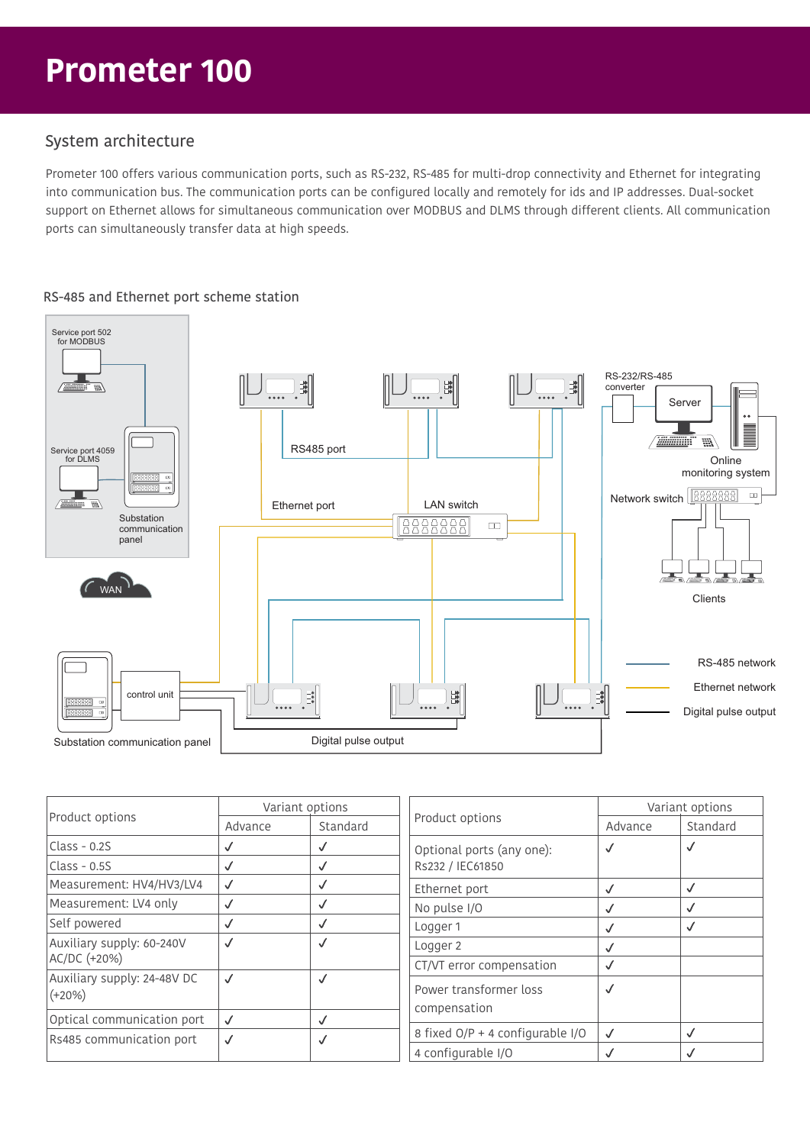### System architecture

Prometer 100 offers various communication ports, such as RS-232, RS-485 for multi-drop connectivity and Ethernet for integrating into communication bus. The communication ports can be configured locally and remotely for ids and IP addresses. Dual-socket support on Ethernet allows for simultaneous communication over MODBUS and DLMS through different clients. All communication ports can simultaneously transfer data at high speeds.



#### RS-485 and Ethernet port scheme station

| Product options                         | Variant options |          |                                               | Variant options |          |
|-----------------------------------------|-----------------|----------|-----------------------------------------------|-----------------|----------|
|                                         | Advance         | Standard | Product options                               | Advance         | Standard |
| Class - 0.2S                            |                 | √        | Optional ports (any one):<br>Rs232 / IEC61850 | $\checkmark$    |          |
| Class - 0.5S                            |                 | √        |                                               |                 |          |
| Measurement: HV4/HV3/LV4                | √               | √        | Ethernet port                                 | $\checkmark$    |          |
| Measurement: LV4 only                   | √               | √        | No pulse I/O                                  | $\checkmark$    |          |
| Self powered                            |                 | M        | Logger 1                                      | $\checkmark$    |          |
| Auxiliary supply: 60-240V               |                 |          | Logger 2                                      | $\checkmark$    |          |
| AC/DC (+20%)                            |                 |          | CT/VT error compensation                      | $\checkmark$    |          |
| Auxiliary supply: 24-48V DC<br>$(+20%)$ |                 | √        | Power transformer loss                        | $\checkmark$    |          |
| Optical communication port              |                 | √        | compensation                                  |                 |          |
| Rs485 communication port                |                 |          | 8 fixed O/P + 4 configurable I/O              | $\checkmark$    |          |
|                                         |                 |          | 4 configurable I/O                            | $\cdot$         |          |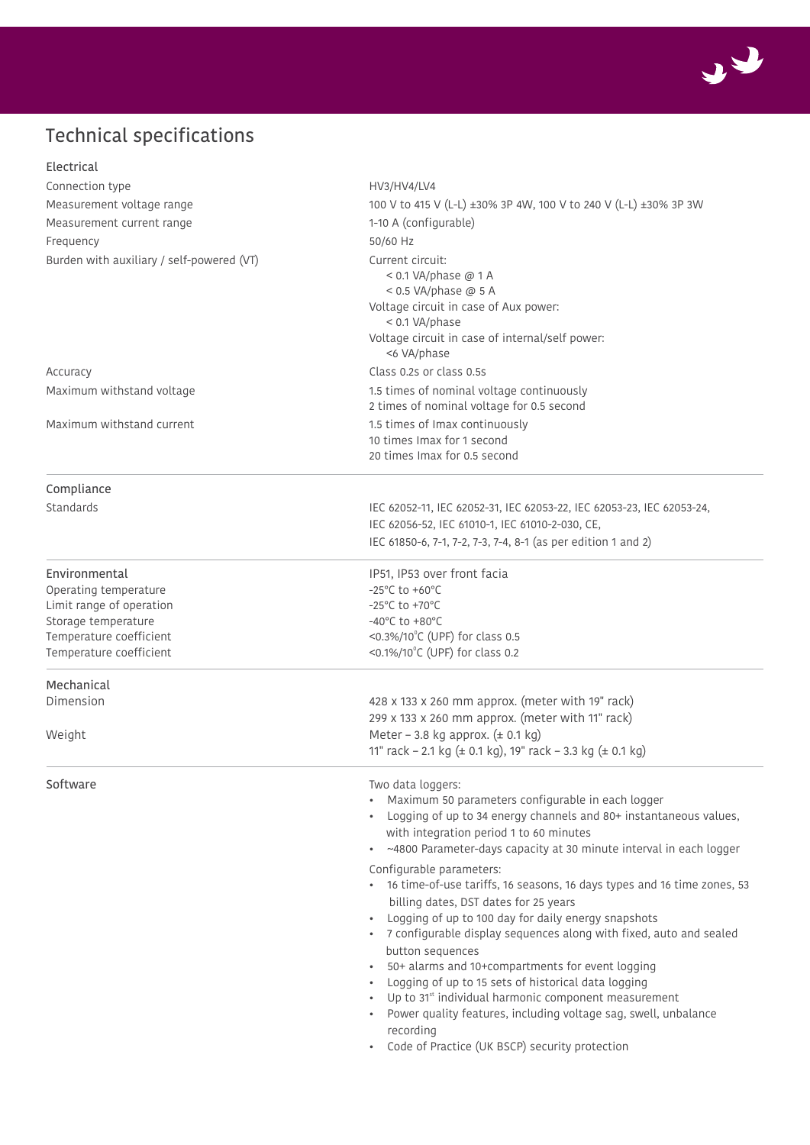

### Technical specifications

| Electrical                                                                                                                                      |                                                                                                                                                                                                                                                                                                                                                                                                                                                                                                                                                                                                                                                                                                                                                                                                                                                                                              |  |  |  |  |
|-------------------------------------------------------------------------------------------------------------------------------------------------|----------------------------------------------------------------------------------------------------------------------------------------------------------------------------------------------------------------------------------------------------------------------------------------------------------------------------------------------------------------------------------------------------------------------------------------------------------------------------------------------------------------------------------------------------------------------------------------------------------------------------------------------------------------------------------------------------------------------------------------------------------------------------------------------------------------------------------------------------------------------------------------------|--|--|--|--|
| Connection type                                                                                                                                 | HV3/HV4/LV4                                                                                                                                                                                                                                                                                                                                                                                                                                                                                                                                                                                                                                                                                                                                                                                                                                                                                  |  |  |  |  |
| Measurement voltage range                                                                                                                       | 100 V to 415 V (L-L) ±30% 3P 4W, 100 V to 240 V (L-L) ±30% 3P 3W                                                                                                                                                                                                                                                                                                                                                                                                                                                                                                                                                                                                                                                                                                                                                                                                                             |  |  |  |  |
| Measurement current range                                                                                                                       | 1-10 A (configurable)                                                                                                                                                                                                                                                                                                                                                                                                                                                                                                                                                                                                                                                                                                                                                                                                                                                                        |  |  |  |  |
| Frequency                                                                                                                                       | 50/60 Hz                                                                                                                                                                                                                                                                                                                                                                                                                                                                                                                                                                                                                                                                                                                                                                                                                                                                                     |  |  |  |  |
| Burden with auxiliary / self-powered (VT)                                                                                                       | Current circuit:<br>< 0.1 VA/phase $@$ 1 A<br>< 0.5 VA/phase $@$ 5 A<br>Voltage circuit in case of Aux power:<br>< 0.1 VA/phase<br>Voltage circuit in case of internal/self power:<br><6 VA/phase                                                                                                                                                                                                                                                                                                                                                                                                                                                                                                                                                                                                                                                                                            |  |  |  |  |
| Accuracy                                                                                                                                        | Class 0.2s or class 0.5s                                                                                                                                                                                                                                                                                                                                                                                                                                                                                                                                                                                                                                                                                                                                                                                                                                                                     |  |  |  |  |
| Maximum withstand voltage                                                                                                                       | 1.5 times of nominal voltage continuously<br>2 times of nominal voltage for 0.5 second                                                                                                                                                                                                                                                                                                                                                                                                                                                                                                                                                                                                                                                                                                                                                                                                       |  |  |  |  |
| Maximum withstand current                                                                                                                       | 1.5 times of Imax continuously<br>10 times Imax for 1 second<br>20 times Imax for 0.5 second                                                                                                                                                                                                                                                                                                                                                                                                                                                                                                                                                                                                                                                                                                                                                                                                 |  |  |  |  |
| Compliance                                                                                                                                      |                                                                                                                                                                                                                                                                                                                                                                                                                                                                                                                                                                                                                                                                                                                                                                                                                                                                                              |  |  |  |  |
| Standards                                                                                                                                       | IEC 62052-11, IEC 62052-31, IEC 62053-22, IEC 62053-23, IEC 62053-24,<br>IEC 62056-52, IEC 61010-1, IEC 61010-2-030, CE,<br>IEC 61850-6, 7-1, 7-2, 7-3, 7-4, 8-1 (as per edition 1 and 2)                                                                                                                                                                                                                                                                                                                                                                                                                                                                                                                                                                                                                                                                                                    |  |  |  |  |
| Environmental<br>Operating temperature<br>Limit range of operation<br>Storage temperature<br>Temperature coefficient<br>Temperature coefficient | IP51, IP53 over front facia<br>-25 $^{\circ}$ C to +60 $^{\circ}$ C<br>$-25^{\circ}$ C to $+70^{\circ}$ C<br>$-40^{\circ}$ C to $+80^{\circ}$ C<br>$<$ 0.3%/10°C (UPF) for class 0.5<br><0.1%/10°C (UPF) for class 0.2                                                                                                                                                                                                                                                                                                                                                                                                                                                                                                                                                                                                                                                                       |  |  |  |  |
| Mechanical                                                                                                                                      |                                                                                                                                                                                                                                                                                                                                                                                                                                                                                                                                                                                                                                                                                                                                                                                                                                                                                              |  |  |  |  |
| Dimension<br>Weight                                                                                                                             | 428 x 133 x 260 mm approx. (meter with 19" rack)<br>299 x 133 x 260 mm approx. (meter with 11" rack)<br>Meter - 3.8 kg approx. $(\pm 0.1 \text{ kg})$<br>11" rack - 2.1 kg (± 0.1 kg), 19" rack - 3.3 kg (± 0.1 kg)                                                                                                                                                                                                                                                                                                                                                                                                                                                                                                                                                                                                                                                                          |  |  |  |  |
|                                                                                                                                                 |                                                                                                                                                                                                                                                                                                                                                                                                                                                                                                                                                                                                                                                                                                                                                                                                                                                                                              |  |  |  |  |
| Software                                                                                                                                        | Two data loggers:<br>• Maximum 50 parameters configurable in each logger<br>Logging of up to 34 energy channels and 80+ instantaneous values,<br>with integration period 1 to 60 minutes<br>• ~4800 Parameter-days capacity at 30 minute interval in each logger<br>Configurable parameters:<br>• 16 time-of-use tariffs, 16 seasons, 16 days types and 16 time zones, 53<br>billing dates, DST dates for 25 years<br>• Logging of up to 100 day for daily energy snapshots<br>• 7 configurable display sequences along with fixed, auto and sealed<br>button sequences<br>• 50+ alarms and 10+compartments for event logging<br>Logging of up to 15 sets of historical data logging<br>Up to 31 <sup>st</sup> individual harmonic component measurement<br>• Power quality features, including voltage sag, swell, unbalance<br>recording<br>Code of Practice (UK BSCP) security protection |  |  |  |  |
|                                                                                                                                                 |                                                                                                                                                                                                                                                                                                                                                                                                                                                                                                                                                                                                                                                                                                                                                                                                                                                                                              |  |  |  |  |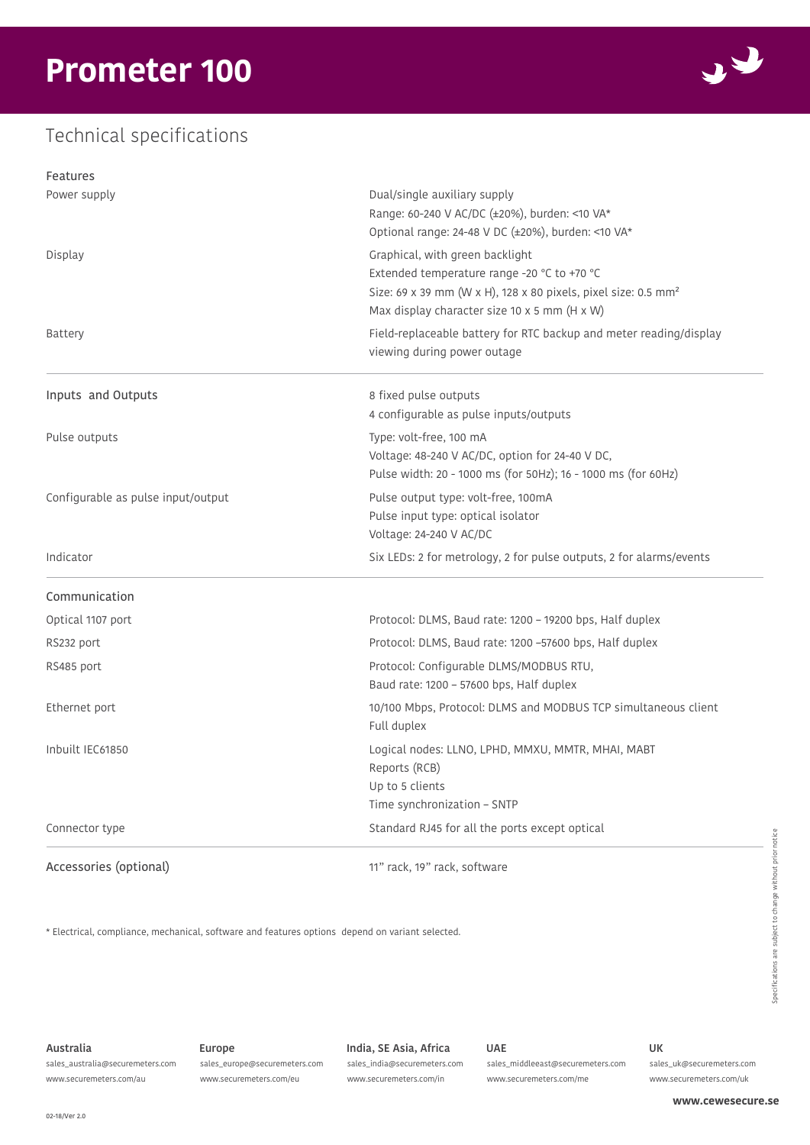### Technical specifications



| Features                           |                                                                                                                                                                                                              |
|------------------------------------|--------------------------------------------------------------------------------------------------------------------------------------------------------------------------------------------------------------|
| Power supply                       | Dual/single auxiliary supply<br>Range: 60-240 V AC/DC (±20%), burden: < 10 VA*<br>Optional range: 24-48 V DC (±20%), burden: <10 VA*                                                                         |
| Display                            | Graphical, with green backlight<br>Extended temperature range -20 °C to +70 °C<br>Size: 69 x 39 mm (W x H), 128 x 80 pixels, pixel size: 0.5 mm <sup>2</sup><br>Max display character size 10 x 5 mm (H x W) |
| <b>Battery</b>                     | Field-replaceable battery for RTC backup and meter reading/display<br>viewing during power outage                                                                                                            |
| Inputs and Outputs                 | 8 fixed pulse outputs<br>4 configurable as pulse inputs/outputs                                                                                                                                              |
| Pulse outputs                      | Type: volt-free, 100 mA<br>Voltage: 48-240 V AC/DC, option for 24-40 V DC,<br>Pulse width: 20 - 1000 ms (for 50Hz); 16 - 1000 ms (for 60Hz)                                                                  |
| Configurable as pulse input/output | Pulse output type: volt-free, 100mA<br>Pulse input type: optical isolator<br>Voltage: 24-240 V AC/DC                                                                                                         |
| Indicator                          | Six LEDs: 2 for metrology, 2 for pulse outputs, 2 for alarms/events                                                                                                                                          |
| Communication                      |                                                                                                                                                                                                              |
| Optical 1107 port                  | Protocol: DLMS, Baud rate: 1200 - 19200 bps, Half duplex                                                                                                                                                     |
| RS232 port                         | Protocol: DLMS, Baud rate: 1200 -57600 bps, Half duplex                                                                                                                                                      |
| RS485 port                         | Protocol: Configurable DLMS/MODBUS RTU,<br>Baud rate: 1200 - 57600 bps, Half duplex                                                                                                                          |
| Ethernet port                      | 10/100 Mbps, Protocol: DLMS and MODBUS TCP simultaneous client<br>Full duplex                                                                                                                                |
| Inbuilt IEC61850                   | Logical nodes: LLNO, LPHD, MMXU, MMTR, MHAI, MABT<br>Reports (RCB)<br>Up to 5 clients<br>Time synchronization - SNTP                                                                                         |
| Connector type                     | Standard RJ45 for all the ports except optical                                                                                                                                                               |
| Accessories (optional)             | 11" rack, 19" rack, software                                                                                                                                                                                 |

\* Electrical, compliance, mechanical, software and features options depend on variant selected.

sales\_australia@securemeters.com www.securemeters.com/au

sales\_europe@securemeters.com www.securemeters.com/eu

**Australia UK India, SE Asia, Africa Europe UAE** sales\_india@securemeters.com www.securemeters.com/in

sales\_middleeast@securemeters.com www.securemeters.com/me

sales\_uk@securemeters.com www.securemeters.com/uk

**www.cewesecure.se**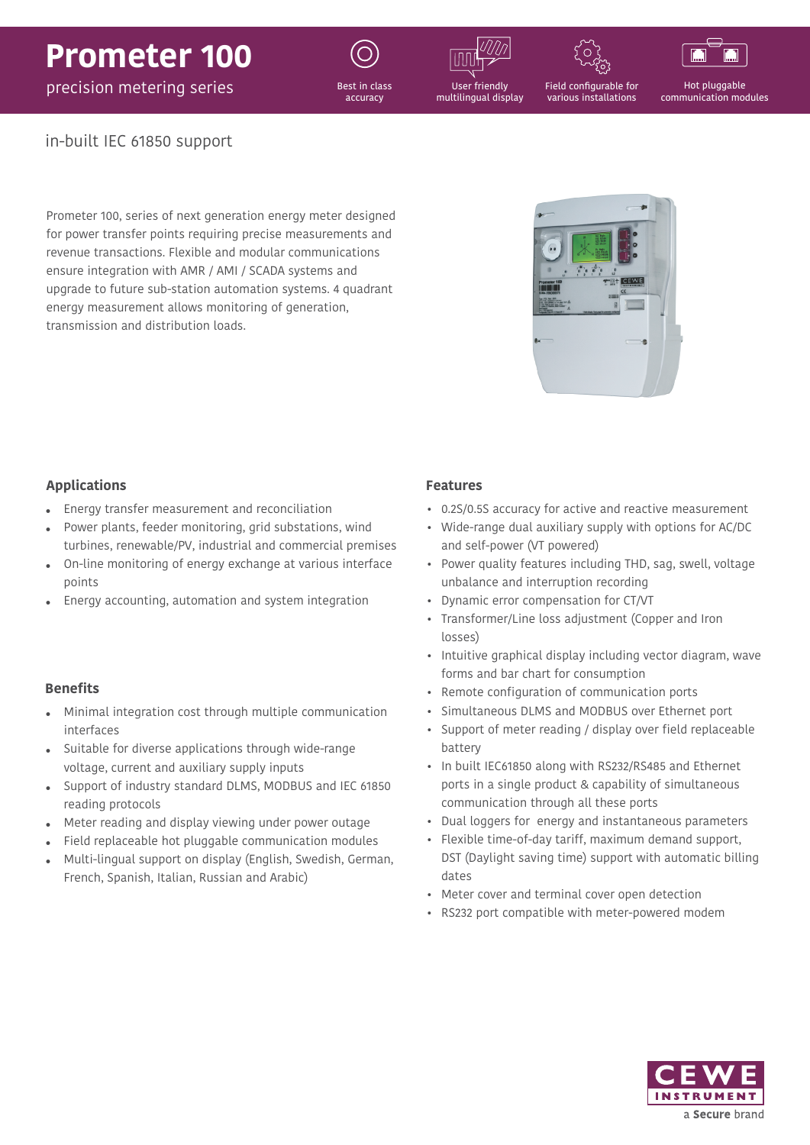



precision metering series

Best in class accuracy

User friendly multilingual display Field configurable for various installations

Hot pluggable communication modules

#### in-built IEC 61850 support

Prometer 100, series of next generation energy meter designed for power transfer points requiring precise measurements and revenue transactions. Flexible and modular communications ensure integration with AMR / AMI / SCADA systems and upgrade to future sub-station automation systems. 4 quadrant energy measurement allows monitoring of generation, transmission and distribution loads.



#### **Applications**

- . Energy transfer measurement and reconciliation
- Power plants, feeder monitoring, grid substations, wind turbines, renewable/PV, industrial and commercial premises
- . On-line monitoring of energy exchange at various interface points
- ! Energy accounting, automation and system integration

#### **Benefits**

- . Minimal integration cost through multiple communication interfaces
- Suitable for diverse applications through wide-range voltage, current and auxiliary supply inputs
- ! Support of industry standard DLMS, MODBUS and IEC 61850 reading protocols
- Meter reading and display viewing under power outage
- Field replaceable hot pluggable communication modules
- ! Multi-lingual support on display (English, Swedish, German, French, Spanish, Italian, Russian and Arabic)

#### **Features**

- 0.2S/0.5S accuracy for active and reactive measurement
- Wide-range dual auxiliary supply with options for AC/DC and self-power (VT powered)
- Power quality features including THD, sag, swell, voltage unbalance and interruption recording
- Dynamic error compensation for CT/VT
- Transformer/Line loss adjustment (Copper and Iron losses)
- Intuitive graphical display including vector diagram, wave forms and bar chart for consumption
- Remote configuration of communication ports
- Simultaneous DLMS and MODBUS over Ethernet port
- Support of meter reading / display over field replaceable battery
- In built IEC61850 along with RS232/RS485 and Ethernet ports in a single product & capability of simultaneous communication through all these ports
- Dual loggers for energy and instantaneous parameters
- Flexible time-of-day tariff, maximum demand support, DST (Daylight saving time) support with automatic billing dates
- Meter cover and terminal cover open detection
- RS232 port compatible with meter-powered modem

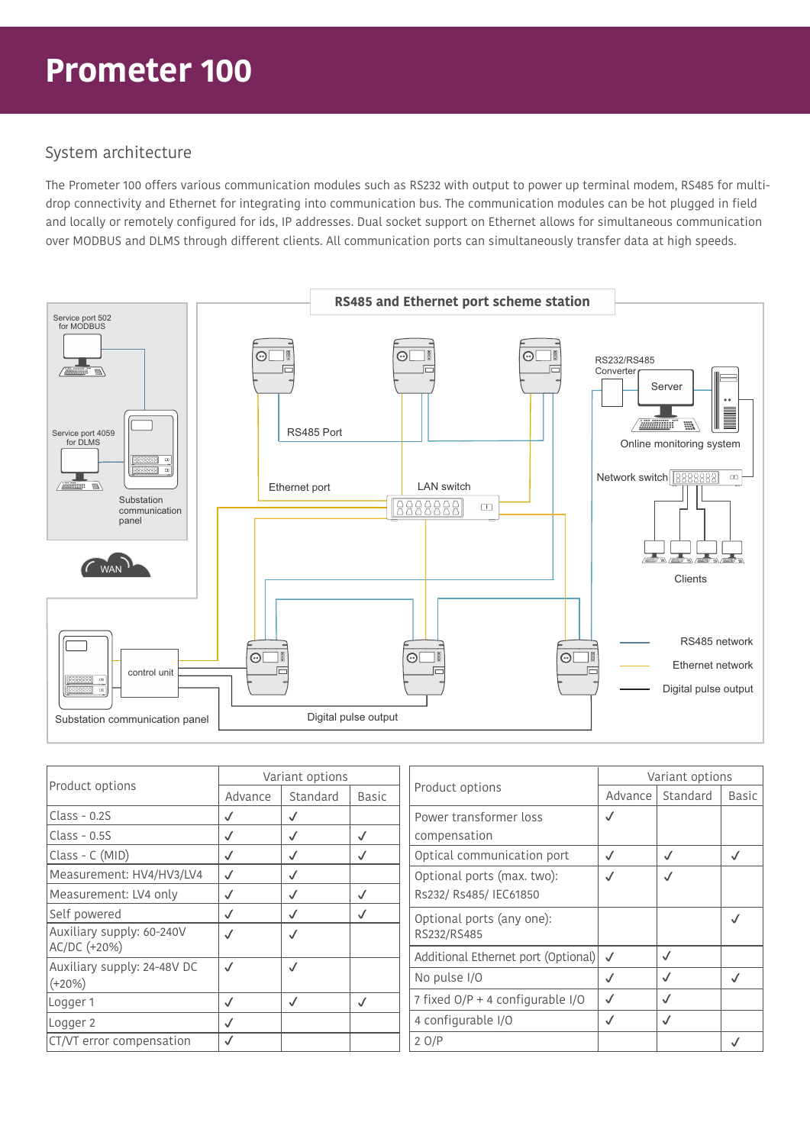#### System architecture

The Prometer 100 offers various communication modules such as RS232 with output to power up terminal modem, RS485 for multidrop connectivity and Ethernet for integrating into communication bus. The communication modules can be hot plugged in field and locally or remotely configured for ids, IP addresses. Dual socket support on Ethernet allows for simultaneous communication over MODBUS and DLMS through different clients. All communication ports can simultaneously transfer data at high speeds.



| Product options                           | Variant options |              |            |                                       | Variant options |              |            |
|-------------------------------------------|-----------------|--------------|------------|---------------------------------------|-----------------|--------------|------------|
|                                           | Advance         | Standard     | Basic      | Product options                       | Advance         | Standard     | Basic      |
| $Class - 0.2S$                            | √               |              |            | Power transformer loss                | $\checkmark$    |              |            |
| $Class - 0.5S$                            | √               | $\checkmark$ | J          | compensation                          |                 |              |            |
| Class - C (MID)                           | √               | √            | J          | Optical communication port            | $\sqrt{2}$      | $\checkmark$ | ✓          |
| Measurement: HV4/HV3/LV4                  | $\checkmark$    | J            |            | Optional ports (max. two):            | $\checkmark$    | $\checkmark$ |            |
| Measurement: LV4 only                     | $\checkmark$    | J            | J          | Rs232/ Rs485/ IEC61850                |                 |              |            |
| Self powered                              | √               | $\checkmark$ | J          | Optional ports (any one):             |                 |              | √          |
| Auxiliary supply: 60-240V<br>AC/DC (+20%) | $\checkmark$    | √            |            | RS232/RS485                           |                 |              |            |
|                                           |                 |              |            | Additional Ethernet port (Optional) √ |                 | $\checkmark$ |            |
| Auxiliary supply: 24-48V DC<br>$(+20%)$   | √               | $\checkmark$ |            | No pulse I/O                          | $\sqrt{ }$      | √            | $\sqrt{ }$ |
| Logger 1                                  | J               | $\checkmark$ | $\sqrt{ }$ | 7 fixed O/P + 4 configurable I/O      | $\checkmark$    | √            |            |
| Logger 2                                  | √               |              |            | 4 configurable I/O                    | $\sqrt{ }$      | $\checkmark$ |            |
| CT/VT error compensation                  | $\checkmark$    |              |            | 2O/P                                  |                 |              |            |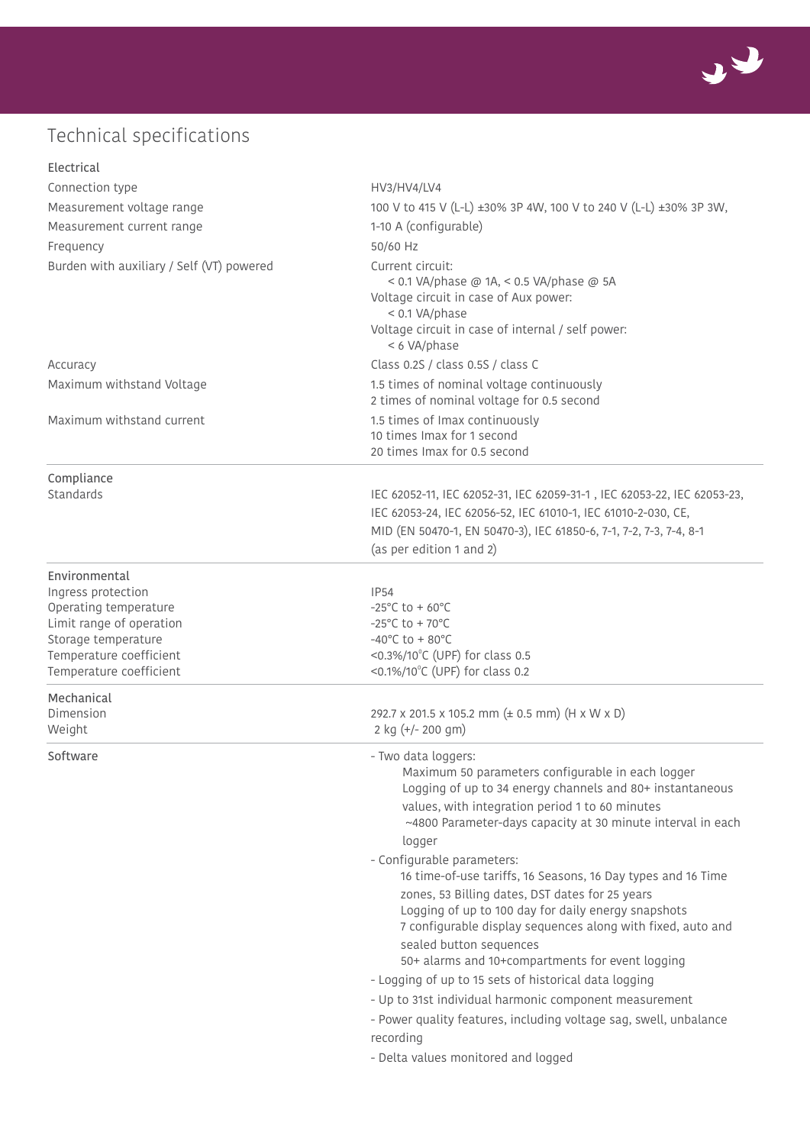![](_page_6_Picture_0.jpeg)

### Technical specifications

| Electrical                                                                                                                                                            |                                                                                                                                                                                                                                                                                                                                                                                                                                                                                                                                                                                                                                                                                                                                                                                                                                                                     |
|-----------------------------------------------------------------------------------------------------------------------------------------------------------------------|---------------------------------------------------------------------------------------------------------------------------------------------------------------------------------------------------------------------------------------------------------------------------------------------------------------------------------------------------------------------------------------------------------------------------------------------------------------------------------------------------------------------------------------------------------------------------------------------------------------------------------------------------------------------------------------------------------------------------------------------------------------------------------------------------------------------------------------------------------------------|
| Connection type                                                                                                                                                       | HV3/HV4/LV4                                                                                                                                                                                                                                                                                                                                                                                                                                                                                                                                                                                                                                                                                                                                                                                                                                                         |
| Measurement voltage range                                                                                                                                             | 100 V to 415 V (L-L) ±30% 3P 4W, 100 V to 240 V (L-L) ±30% 3P 3W,                                                                                                                                                                                                                                                                                                                                                                                                                                                                                                                                                                                                                                                                                                                                                                                                   |
| Measurement current range                                                                                                                                             | 1-10 A (configurable)                                                                                                                                                                                                                                                                                                                                                                                                                                                                                                                                                                                                                                                                                                                                                                                                                                               |
| Frequency                                                                                                                                                             | 50/60 Hz                                                                                                                                                                                                                                                                                                                                                                                                                                                                                                                                                                                                                                                                                                                                                                                                                                                            |
| Burden with auxiliary / Self (VT) powered                                                                                                                             | Current circuit:<br>< 0.1 VA/phase @ 1A, < 0.5 VA/phase @ 5A<br>Voltage circuit in case of Aux power:<br>< 0.1 VA/phase<br>Voltage circuit in case of internal / self power:<br>< 6 VA/phase                                                                                                                                                                                                                                                                                                                                                                                                                                                                                                                                                                                                                                                                        |
| Accuracy                                                                                                                                                              | Class 0.2S / class 0.5S / class C                                                                                                                                                                                                                                                                                                                                                                                                                                                                                                                                                                                                                                                                                                                                                                                                                                   |
| Maximum withstand Voltage                                                                                                                                             | 1.5 times of nominal voltage continuously<br>2 times of nominal voltage for 0.5 second                                                                                                                                                                                                                                                                                                                                                                                                                                                                                                                                                                                                                                                                                                                                                                              |
| Maximum withstand current                                                                                                                                             | 1.5 times of Imax continuously<br>10 times Imax for 1 second<br>20 times Imax for 0.5 second                                                                                                                                                                                                                                                                                                                                                                                                                                                                                                                                                                                                                                                                                                                                                                        |
| Compliance<br>Standards                                                                                                                                               | IEC 62052-11, IEC 62052-31, IEC 62059-31-1, IEC 62053-22, IEC 62053-23,<br>IEC 62053-24, IEC 62056-52, IEC 61010-1, IEC 61010-2-030, CE,<br>MID (EN 50470-1, EN 50470-3), IEC 61850-6, 7-1, 7-2, 7-3, 7-4, 8-1<br>(as per edition 1 and 2)                                                                                                                                                                                                                                                                                                                                                                                                                                                                                                                                                                                                                          |
| Environmental<br>Ingress protection<br>Operating temperature<br>Limit range of operation<br>Storage temperature<br>Temperature coefficient<br>Temperature coefficient | <b>IP54</b><br>$-25^{\circ}$ C to + 60 $^{\circ}$ C<br>$-25^{\circ}$ C to + 70 $^{\circ}$ C<br>$-40^{\circ}$ C to + 80 $^{\circ}$ C<br><0.3%/10°C (UPF) for class 0.5<br><0.1%/10°C (UPF) for class 0.2                                                                                                                                                                                                                                                                                                                                                                                                                                                                                                                                                                                                                                                             |
| Mechanical<br>Dimension<br>Weight                                                                                                                                     | 292.7 x 201.5 x 105.2 mm (± 0.5 mm) (H x W x D)<br>2 kg (+/- 200 gm)                                                                                                                                                                                                                                                                                                                                                                                                                                                                                                                                                                                                                                                                                                                                                                                                |
| Software                                                                                                                                                              | - Two data loggers:<br>Maximum 50 parameters configurable in each logger<br>Logging of up to 34 energy channels and 80+ instantaneous<br>values, with integration period 1 to 60 minutes<br>~4800 Parameter-days capacity at 30 minute interval in each<br>logger<br>- Configurable parameters:<br>16 time-of-use tariffs, 16 Seasons, 16 Day types and 16 Time<br>zones, 53 Billing dates, DST dates for 25 years<br>Logging of up to 100 day for daily energy snapshots<br>7 configurable display sequences along with fixed, auto and<br>sealed button sequences<br>50+ alarms and 10+compartments for event logging<br>- Logging of up to 15 sets of historical data logging<br>- Up to 31st individual harmonic component measurement<br>- Power quality features, including voltage sag, swell, unbalance<br>recording<br>- Delta values monitored and logged |